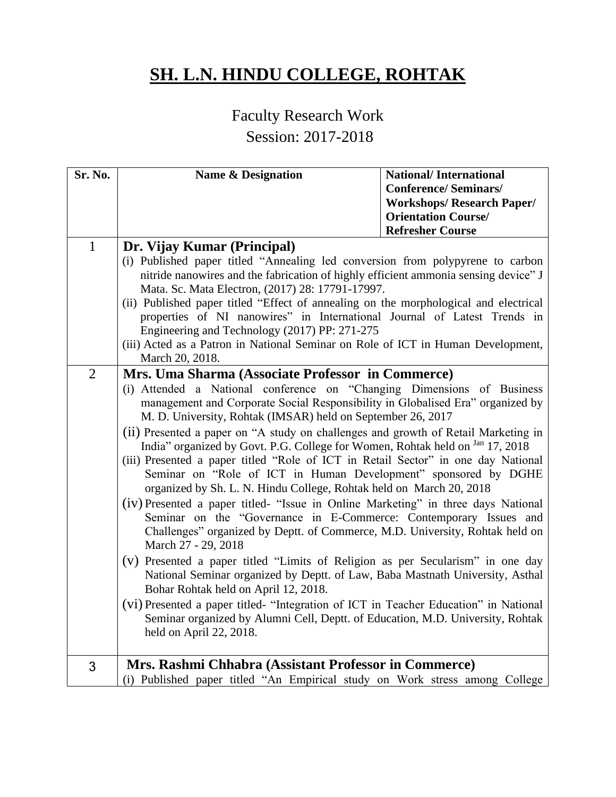## **SH. L.N. HINDU COLLEGE, ROHTAK**

## Faculty Research Work

## Session: 2017-2018

| Sr. No.        | <b>Name &amp; Designation</b>                                                                                                                                                                                                                                 | <b>National/International</b>     |
|----------------|---------------------------------------------------------------------------------------------------------------------------------------------------------------------------------------------------------------------------------------------------------------|-----------------------------------|
|                |                                                                                                                                                                                                                                                               | <b>Conference/Seminars/</b>       |
|                |                                                                                                                                                                                                                                                               | <b>Workshops/ Research Paper/</b> |
|                |                                                                                                                                                                                                                                                               | <b>Orientation Course/</b>        |
|                |                                                                                                                                                                                                                                                               | <b>Refresher Course</b>           |
| $\mathbf{1}$   | Dr. Vijay Kumar (Principal)<br>(i) Published paper titled "Annealing led conversion from polypyrene to carbon                                                                                                                                                 |                                   |
|                | nitride nanowires and the fabrication of highly efficient ammonia sensing device" J<br>Mata. Sc. Mata Electron, (2017) 28: 17791-17997.                                                                                                                       |                                   |
|                | (ii) Published paper titled "Effect of annealing on the morphological and electrical                                                                                                                                                                          |                                   |
|                | properties of NI nanowires" in International Journal of Latest Trends in                                                                                                                                                                                      |                                   |
|                | Engineering and Technology (2017) PP: 271-275                                                                                                                                                                                                                 |                                   |
|                | (iii) Acted as a Patron in National Seminar on Role of ICT in Human Development,                                                                                                                                                                              |                                   |
|                | March 20, 2018.                                                                                                                                                                                                                                               |                                   |
| $\overline{2}$ | Mrs. Uma Sharma (Associate Professor in Commerce)                                                                                                                                                                                                             |                                   |
|                | (i) Attended a National conference on "Changing Dimensions of Business                                                                                                                                                                                        |                                   |
|                | management and Corporate Social Responsibility in Globalised Era" organized by                                                                                                                                                                                |                                   |
|                | M. D. University, Rohtak (IMSAR) held on September 26, 2017                                                                                                                                                                                                   |                                   |
|                | (ii) Presented a paper on "A study on challenges and growth of Retail Marketing in<br>India" organized by Govt. P.G. College for Women, Rohtak held on Jan 17, 2018                                                                                           |                                   |
|                | (iii) Presented a paper titled "Role of ICT in Retail Sector" in one day National<br>Seminar on "Role of ICT in Human Development" sponsored by DGHE<br>organized by Sh. L. N. Hindu College, Rohtak held on March 20, 2018                                   |                                   |
|                | (iv) Presented a paper titled- "Issue in Online Marketing" in three days National<br>Seminar on the "Governance in E-Commerce: Contemporary Issues and<br>Challenges" organized by Deptt. of Commerce, M.D. University, Rohtak held on<br>March 27 - 29, 2018 |                                   |
|                | (v) Presented a paper titled "Limits of Religion as per Secularism" in one day<br>National Seminar organized by Deptt. of Law, Baba Mastnath University, Asthal<br>Bohar Rohtak held on April 12, 2018.                                                       |                                   |
|                | (vi) Presented a paper titled- "Integration of ICT in Teacher Education" in National<br>Seminar organized by Alumni Cell, Deptt. of Education, M.D. University, Rohtak                                                                                        |                                   |
|                | held on April 22, 2018.                                                                                                                                                                                                                                       |                                   |
| 3              | Mrs. Rashmi Chhabra (Assistant Professor in Commerce)                                                                                                                                                                                                         |                                   |
|                | (i) Published paper titled "An Empirical study on Work stress among College                                                                                                                                                                                   |                                   |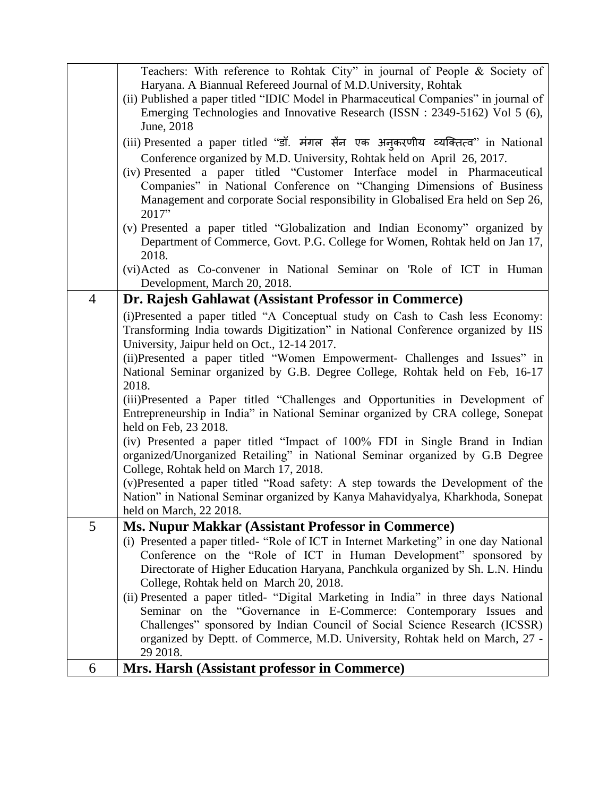|                | Teachers: With reference to Rohtak City" in journal of People & Society of                                                                                         |
|----------------|--------------------------------------------------------------------------------------------------------------------------------------------------------------------|
|                | Haryana. A Biannual Refereed Journal of M.D.University, Rohtak                                                                                                     |
|                | (ii) Published a paper titled "IDIC Model in Pharmaceutical Companies" in journal of                                                                               |
|                | Emerging Technologies and Innovative Research (ISSN : 2349-5162) Vol 5 (6),                                                                                        |
|                | June, 2018                                                                                                                                                         |
|                | (iii) Presented a paper titled "डॉ. मंगल सेंन एक अनुकरणीय व्यक्तित्व" in National                                                                                  |
|                | Conference organized by M.D. University, Rohtak held on April 26, 2017.                                                                                            |
|                | (iv) Presented a paper titled "Customer Interface model in Pharmaceutical                                                                                          |
|                | Companies" in National Conference on "Changing Dimensions of Business                                                                                              |
|                | Management and corporate Social responsibility in Globalised Era held on Sep 26,                                                                                   |
|                | 2017"                                                                                                                                                              |
|                | (v) Presented a paper titled "Globalization and Indian Economy" organized by                                                                                       |
|                | Department of Commerce, Govt. P.G. College for Women, Rohtak held on Jan 17,                                                                                       |
|                | 2018.                                                                                                                                                              |
|                | (vi)Acted as Co-convener in National Seminar on 'Role of ICT in Human                                                                                              |
|                | Development, March 20, 2018.                                                                                                                                       |
| $\overline{4}$ | Dr. Rajesh Gahlawat (Assistant Professor in Commerce)                                                                                                              |
|                | (i)Presented a paper titled "A Conceptual study on Cash to Cash less Economy:                                                                                      |
|                | Transforming India towards Digitization" in National Conference organized by IIS                                                                                   |
|                | University, Jaipur held on Oct., 12-14 2017.                                                                                                                       |
|                | (ii)Presented a paper titled "Women Empowerment- Challenges and Issues" in                                                                                         |
|                | National Seminar organized by G.B. Degree College, Rohtak held on Feb, 16-17                                                                                       |
|                | 2018.                                                                                                                                                              |
|                | (iii)Presented a Paper titled "Challenges and Opportunities in Development of                                                                                      |
|                | Entrepreneurship in India" in National Seminar organized by CRA college, Sonepat                                                                                   |
|                | held on Feb, 23 2018.                                                                                                                                              |
|                | (iv) Presented a paper titled "Impact of 100% FDI in Single Brand in Indian                                                                                        |
|                | organized/Unorganized Retailing" in National Seminar organized by G.B Degree                                                                                       |
|                | College, Rohtak held on March 17, 2018.                                                                                                                            |
|                | (v)Presented a paper titled "Road safety: A step towards the Development of the<br>Nation" in National Seminar organized by Kanya Mahavidyalya, Kharkhoda, Sonepat |
|                | held on March, 22 2018.                                                                                                                                            |
| 5              | <b>Ms. Nupur Makkar (Assistant Professor in Commerce)</b>                                                                                                          |
|                | (i) Presented a paper titled- "Role of ICT in Internet Marketing" in one day National                                                                              |
|                | Conference on the "Role of ICT in Human Development" sponsored by                                                                                                  |
|                | Directorate of Higher Education Haryana, Panchkula organized by Sh. L.N. Hindu                                                                                     |
|                | College, Rohtak held on March 20, 2018.                                                                                                                            |
|                | (ii) Presented a paper titled- "Digital Marketing in India" in three days National                                                                                 |
|                | Seminar on the "Governance in E-Commerce: Contemporary Issues and                                                                                                  |
|                | Challenges" sponsored by Indian Council of Social Science Research (ICSSR)                                                                                         |
|                | organized by Deptt. of Commerce, M.D. University, Rohtak held on March, 27 -                                                                                       |
|                | 29 2018.                                                                                                                                                           |
| 6              | Mrs. Harsh (Assistant professor in Commerce)                                                                                                                       |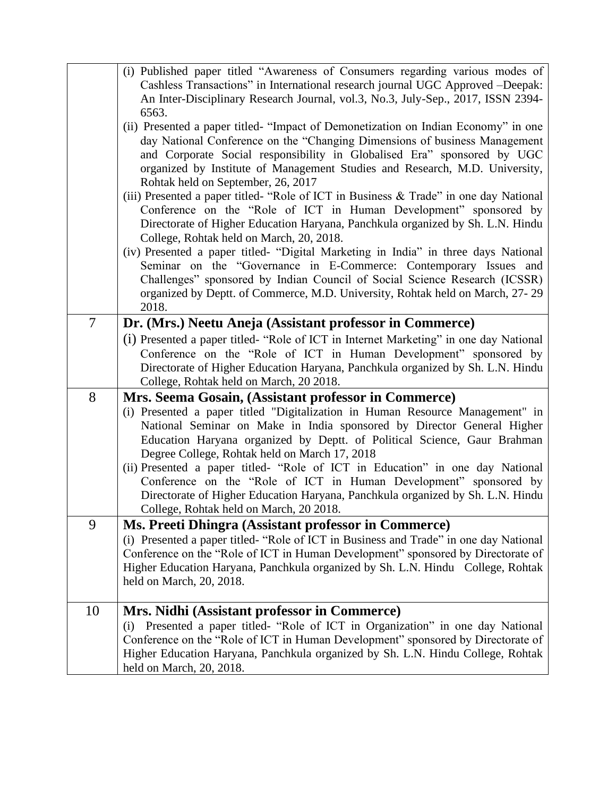|                | (i) Published paper titled "Awareness of Consumers regarding various modes of<br>Cashless Transactions" in International research journal UGC Approved -Deepak:<br>An Inter-Disciplinary Research Journal, vol.3, No.3, July-Sep., 2017, ISSN 2394-<br>6563.                                                                                                                                                                                                                                                                                                                                                                    |
|----------------|---------------------------------------------------------------------------------------------------------------------------------------------------------------------------------------------------------------------------------------------------------------------------------------------------------------------------------------------------------------------------------------------------------------------------------------------------------------------------------------------------------------------------------------------------------------------------------------------------------------------------------|
|                | (ii) Presented a paper titled- "Impact of Demonetization on Indian Economy" in one<br>day National Conference on the "Changing Dimensions of business Management<br>and Corporate Social responsibility in Globalised Era" sponsored by UGC<br>organized by Institute of Management Studies and Research, M.D. University,<br>Rohtak held on September, 26, 2017                                                                                                                                                                                                                                                                |
|                | (iii) Presented a paper titled- "Role of ICT in Business & Trade" in one day National<br>Conference on the "Role of ICT in Human Development" sponsored by<br>Directorate of Higher Education Haryana, Panchkula organized by Sh. L.N. Hindu<br>College, Rohtak held on March, 20, 2018.                                                                                                                                                                                                                                                                                                                                        |
|                | (iv) Presented a paper titled- "Digital Marketing in India" in three days National<br>Seminar on the "Governance in E-Commerce: Contemporary Issues and<br>Challenges" sponsored by Indian Council of Social Science Research (ICSSR)<br>organized by Deptt. of Commerce, M.D. University, Rohtak held on March, 27-29<br>2018.                                                                                                                                                                                                                                                                                                 |
| $\overline{7}$ | Dr. (Mrs.) Neetu Aneja (Assistant professor in Commerce)<br>(i) Presented a paper titled- "Role of ICT in Internet Marketing" in one day National<br>Conference on the "Role of ICT in Human Development" sponsored by<br>Directorate of Higher Education Haryana, Panchkula organized by Sh. L.N. Hindu<br>College, Rohtak held on March, 20 2018.                                                                                                                                                                                                                                                                             |
| 8              | Mrs. Seema Gosain, (Assistant professor in Commerce)<br>(i) Presented a paper titled "Digitalization in Human Resource Management" in<br>National Seminar on Make in India sponsored by Director General Higher<br>Education Haryana organized by Deptt. of Political Science, Gaur Brahman<br>Degree College, Rohtak held on March 17, 2018<br>(ii) Presented a paper titled- "Role of ICT in Education" in one day National<br>Conference on the "Role of ICT in Human Development" sponsored by<br>Directorate of Higher Education Haryana, Panchkula organized by Sh. L.N. Hindu<br>College, Rohtak held on March, 20 2018. |
| 9              | Ms. Preeti Dhingra (Assistant professor in Commerce)<br>(i) Presented a paper titled- "Role of ICT in Business and Trade" in one day National<br>Conference on the "Role of ICT in Human Development" sponsored by Directorate of<br>Higher Education Haryana, Panchkula organized by Sh. L.N. Hindu College, Rohtak<br>held on March, 20, 2018.                                                                                                                                                                                                                                                                                |
| 10             | Mrs. Nidhi (Assistant professor in Commerce)<br>Presented a paper titled- "Role of ICT in Organization" in one day National<br>(i)<br>Conference on the "Role of ICT in Human Development" sponsored by Directorate of<br>Higher Education Haryana, Panchkula organized by Sh. L.N. Hindu College, Rohtak<br>held on March, 20, 2018.                                                                                                                                                                                                                                                                                           |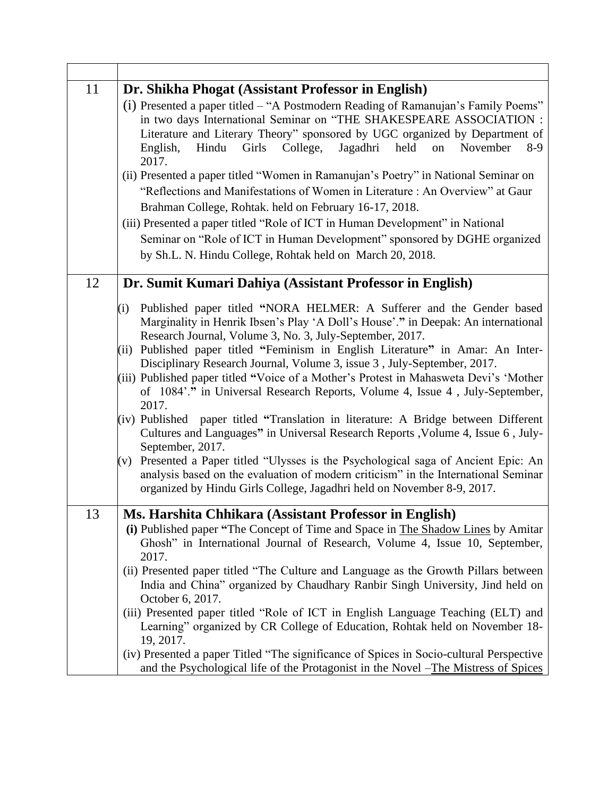| 11 | Dr. Shikha Phogat (Assistant Professor in English)                                                                                                                                                                                                                                                                                                                                                                                                                                                                                                                                                                                                                                                                                                                                                                                                                                                                                                                                                                                   |
|----|--------------------------------------------------------------------------------------------------------------------------------------------------------------------------------------------------------------------------------------------------------------------------------------------------------------------------------------------------------------------------------------------------------------------------------------------------------------------------------------------------------------------------------------------------------------------------------------------------------------------------------------------------------------------------------------------------------------------------------------------------------------------------------------------------------------------------------------------------------------------------------------------------------------------------------------------------------------------------------------------------------------------------------------|
|    | (i) Presented a paper titled – "A Postmodern Reading of Ramanujan's Family Poems"<br>in two days International Seminar on "THE SHAKESPEARE ASSOCIATION :<br>Literature and Literary Theory" sponsored by UGC organized by Department of<br>Jagadhri<br>Hindu<br>Girls<br>College,<br>held<br>on<br>November<br>English,<br>$8-9$<br>2017.<br>(ii) Presented a paper titled "Women in Ramanujan's Poetry" in National Seminar on<br>"Reflections and Manifestations of Women in Literature : An Overview" at Gaur<br>Brahman College, Rohtak. held on February 16-17, 2018.<br>(iii) Presented a paper titled "Role of ICT in Human Development" in National<br>Seminar on "Role of ICT in Human Development" sponsored by DGHE organized<br>by Sh.L. N. Hindu College, Rohtak held on March 20, 2018.                                                                                                                                                                                                                                |
| 12 | Dr. Sumit Kumari Dahiya (Assistant Professor in English)                                                                                                                                                                                                                                                                                                                                                                                                                                                                                                                                                                                                                                                                                                                                                                                                                                                                                                                                                                             |
|    | Published paper titled "NORA HELMER: A Sufferer and the Gender based<br>(i)<br>Marginality in Henrik Ibsen's Play 'A Doll's House'." in Deepak: An international<br>Research Journal, Volume 3, No. 3, July-September, 2017.<br>(ii) Published paper titled "Feminism in English Literature" in Amar: An Inter-<br>Disciplinary Research Journal, Volume 3, issue 3, July-September, 2017.<br>(iii) Published paper titled "Voice of a Mother's Protest in Mahasweta Devi's 'Mother<br>of 1084'." in Universal Research Reports, Volume 4, Issue 4, July-September,<br>2017.<br>(iv) Published paper titled "Translation in literature: A Bridge between Different<br>Cultures and Languages" in Universal Research Reports , Volume 4, Issue 6, July-<br>September, 2017.<br>Presented a Paper titled "Ulysses is the Psychological saga of Ancient Epic: An<br>(v)<br>analysis based on the evaluation of modern criticism" in the International Seminar<br>organized by Hindu Girls College, Jagadhri held on November 8-9, 2017. |
| 13 | Ms. Harshita Chhikara (Assistant Professor in English)<br>(i) Published paper "The Concept of Time and Space in The Shadow Lines by Amitar<br>Ghosh" in International Journal of Research, Volume 4, Issue 10, September,<br>2017.<br>(ii) Presented paper titled "The Culture and Language as the Growth Pillars between<br>India and China" organized by Chaudhary Ranbir Singh University, Jind held on<br>October 6, 2017.<br>(iii) Presented paper titled "Role of ICT in English Language Teaching (ELT) and<br>Learning" organized by CR College of Education, Rohtak held on November 18-<br>19, 2017.<br>(iv) Presented a paper Titled "The significance of Spices in Socio-cultural Perspective<br>and the Psychological life of the Protagonist in the Novel –The Mistress of Spices                                                                                                                                                                                                                                      |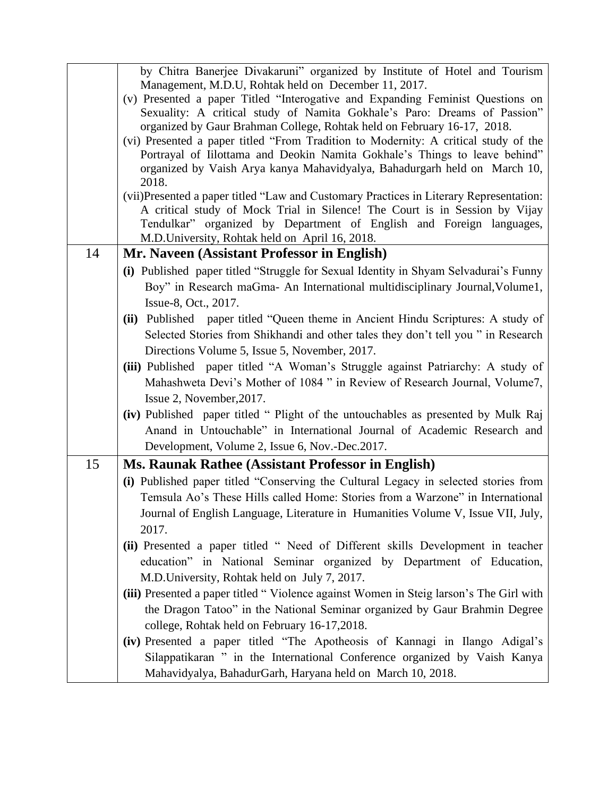|    | by Chitra Banerjee Divakaruni" organized by Institute of Hotel and Tourism                                                                                 |
|----|------------------------------------------------------------------------------------------------------------------------------------------------------------|
|    | Management, M.D.U, Rohtak held on December 11, 2017.                                                                                                       |
|    | (v) Presented a paper Titled "Interogative and Expanding Feminist Questions on<br>Sexuality: A critical study of Namita Gokhale's Paro: Dreams of Passion" |
|    | organized by Gaur Brahman College, Rohtak held on February 16-17, 2018.                                                                                    |
|    | (vi) Presented a paper titled "From Tradition to Modernity: A critical study of the                                                                        |
|    | Portrayal of Iilottama and Deokin Namita Gokhale's Things to leave behind"                                                                                 |
|    | organized by Vaish Arya kanya Mahavidyalya, Bahadurgarh held on March 10,                                                                                  |
|    | 2018.                                                                                                                                                      |
|    | (vii)Presented a paper titled "Law and Customary Practices in Literary Representation:                                                                     |
|    | A critical study of Mock Trial in Silence! The Court is in Session by Vijay                                                                                |
|    | Tendulkar" organized by Department of English and Foreign languages,                                                                                       |
|    | M.D.University, Rohtak held on April 16, 2018.                                                                                                             |
| 14 | Mr. Naveen (Assistant Professor in English)                                                                                                                |
|    | (i) Published paper titled "Struggle for Sexual Identity in Shyam Selvadurai's Funny                                                                       |
|    | Boy" in Research maGma- An International multidisciplinary Journal, Volume1,                                                                               |
|    | Issue-8, Oct., 2017.                                                                                                                                       |
|    | (ii) Published paper titled "Queen theme in Ancient Hindu Scriptures: A study of                                                                           |
|    | Selected Stories from Shikhandi and other tales they don't tell you " in Research                                                                          |
|    | Directions Volume 5, Issue 5, November, 2017.                                                                                                              |
|    | (iii) Published paper titled "A Woman's Struggle against Patriarchy: A study of                                                                            |
|    | Mahashweta Devi's Mother of 1084 " in Review of Research Journal, Volume7,                                                                                 |
|    | Issue 2, November, 2017.                                                                                                                                   |
|    | (iv) Published paper titled " Plight of the untouchables as presented by Mulk Raj                                                                          |
|    | Anand in Untouchable" in International Journal of Academic Research and                                                                                    |
|    | Development, Volume 2, Issue 6, Nov.-Dec.2017.                                                                                                             |
| 15 | <b>Ms. Raunak Rathee (Assistant Professor in English)</b>                                                                                                  |
|    | (i) Published paper titled "Conserving the Cultural Legacy in selected stories from                                                                        |
|    | Temsula Ao's These Hills called Home: Stories from a Warzone" in International                                                                             |
|    | Journal of English Language, Literature in Humanities Volume V, Issue VII, July,                                                                           |
|    | 2017.                                                                                                                                                      |
|    | (ii) Presented a paper titled " Need of Different skills Development in teacher                                                                            |
|    | education" in National Seminar organized by Department of Education,                                                                                       |
|    | M.D.University, Rohtak held on July 7, 2017.                                                                                                               |
|    | (iii) Presented a paper titled "Violence against Women in Steig larson's The Girl with                                                                     |
|    | the Dragon Tatoo" in the National Seminar organized by Gaur Brahmin Degree                                                                                 |
|    | college, Rohtak held on February 16-17,2018.                                                                                                               |
|    | (iv) Presented a paper titled "The Apotheosis of Kannagi in Ilango Adigal's                                                                                |
|    | Silappatikaran " in the International Conference organized by Vaish Kanya                                                                                  |
|    | Mahavidyalya, BahadurGarh, Haryana held on March 10, 2018.                                                                                                 |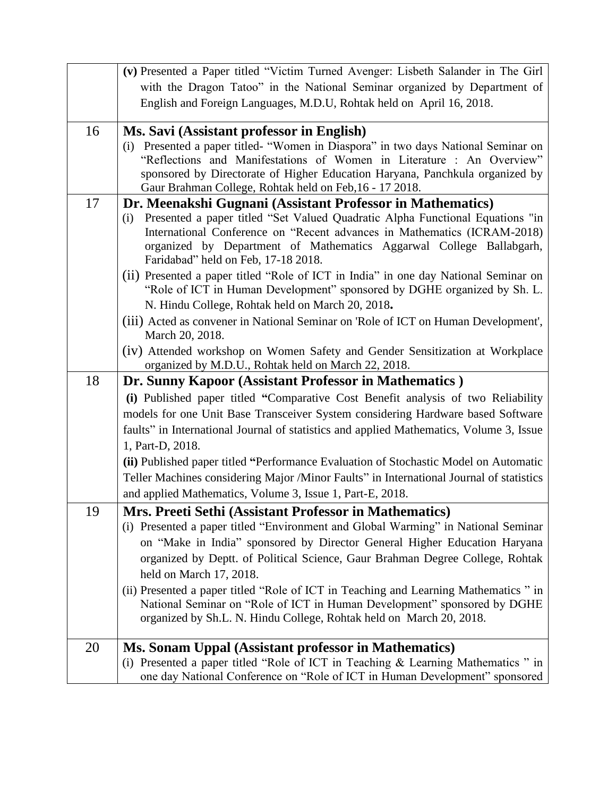|    | (v) Presented a Paper titled "Victim Turned Avenger: Lisbeth Salander in The Girl                                                                          |
|----|------------------------------------------------------------------------------------------------------------------------------------------------------------|
|    | with the Dragon Tatoo" in the National Seminar organized by Department of                                                                                  |
|    | English and Foreign Languages, M.D.U, Rohtak held on April 16, 2018.                                                                                       |
|    |                                                                                                                                                            |
| 16 | Ms. Savi (Assistant professor in English)                                                                                                                  |
|    | (i) Presented a paper titled- "Women in Diaspora" in two days National Seminar on<br>"Reflections and Manifestations of Women in Literature : An Overview" |
|    | sponsored by Directorate of Higher Education Haryana, Panchkula organized by                                                                               |
|    | Gaur Brahman College, Rohtak held on Feb, 16 - 17 2018.                                                                                                    |
| 17 | Dr. Meenakshi Gugnani (Assistant Professor in Mathematics)                                                                                                 |
|    | Presented a paper titled "Set Valued Quadratic Alpha Functional Equations "in<br>(i)                                                                       |
|    | International Conference on "Recent advances in Mathematics (ICRAM-2018)                                                                                   |
|    | organized by Department of Mathematics Aggarwal College Ballabgarh,<br>Faridabad" held on Feb, 17-18 2018.                                                 |
|    | (ii) Presented a paper titled "Role of ICT in India" in one day National Seminar on                                                                        |
|    | "Role of ICT in Human Development" sponsored by DGHE organized by Sh. L.                                                                                   |
|    | N. Hindu College, Rohtak held on March 20, 2018.                                                                                                           |
|    | (iii) Acted as convener in National Seminar on 'Role of ICT on Human Development',                                                                         |
|    | March 20, 2018.                                                                                                                                            |
|    | (iv) Attended workshop on Women Safety and Gender Sensitization at Workplace                                                                               |
|    | organized by M.D.U., Rohtak held on March 22, 2018.                                                                                                        |
|    |                                                                                                                                                            |
| 18 | Dr. Sunny Kapoor (Assistant Professor in Mathematics)                                                                                                      |
|    | (i) Published paper titled "Comparative Cost Benefit analysis of two Reliability                                                                           |
|    | models for one Unit Base Transceiver System considering Hardware based Software                                                                            |
|    | faults" in International Journal of statistics and applied Mathematics, Volume 3, Issue                                                                    |
|    | 1, Part-D, 2018.                                                                                                                                           |
|    | (ii) Published paper titled "Performance Evaluation of Stochastic Model on Automatic                                                                       |
|    | Teller Machines considering Major /Minor Faults" in International Journal of statistics                                                                    |
|    | and applied Mathematics, Volume 3, Issue 1, Part-E, 2018.                                                                                                  |
| 19 | Mrs. Preeti Sethi (Assistant Professor in Mathematics)                                                                                                     |
|    | (i) Presented a paper titled "Environment and Global Warming" in National Seminar                                                                          |
|    | on "Make in India" sponsored by Director General Higher Education Haryana                                                                                  |
|    | organized by Deptt. of Political Science, Gaur Brahman Degree College, Rohtak                                                                              |
|    | held on March 17, 2018.                                                                                                                                    |
|    | (ii) Presented a paper titled "Role of ICT in Teaching and Learning Mathematics" in                                                                        |
|    | National Seminar on "Role of ICT in Human Development" sponsored by DGHE                                                                                   |
|    | organized by Sh.L. N. Hindu College, Rohtak held on March 20, 2018.                                                                                        |
| 20 |                                                                                                                                                            |
|    | Ms. Sonam Uppal (Assistant professor in Mathematics)<br>(i) Presented a paper titled "Role of ICT in Teaching & Learning Mathematics " in                  |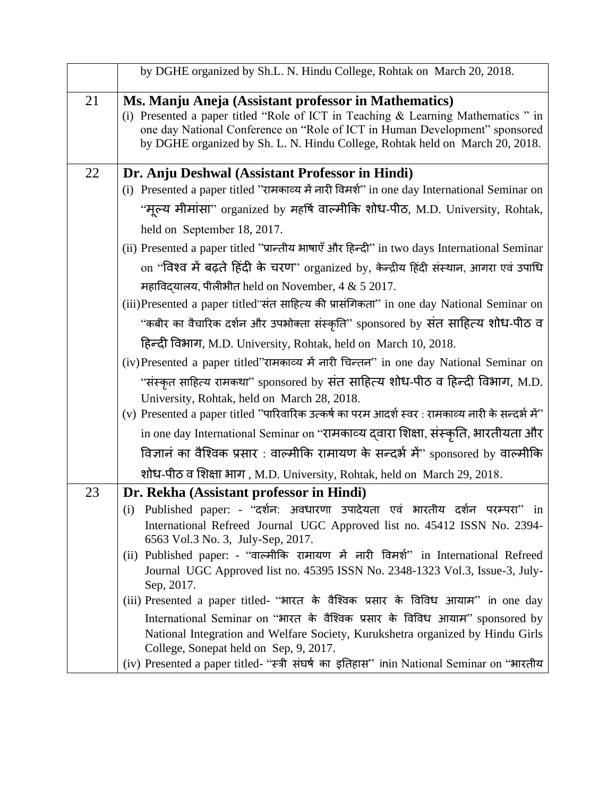|    | by DGHE organized by Sh.L. N. Hindu College, Rohtak on March 20, 2018.                                                                                      |
|----|-------------------------------------------------------------------------------------------------------------------------------------------------------------|
| 21 | Ms. Manju Aneja (Assistant professor in Mathematics)<br>(i) Presented a paper titled "Role of ICT in Teaching & Learning Mathematics " in                   |
|    | one day National Conference on "Role of ICT in Human Development" sponsored<br>by DGHE organized by Sh. L. N. Hindu College, Rohtak held on March 20, 2018. |
| 22 | Dr. Anju Deshwal (Assistant Professor in Hindi)                                                                                                             |
|    | (i) Presented a paper titled "रामकाव्य में नारी विमर्श" in one day International Seminar on                                                                 |
|    | "मूल्य मीमांसा" organized by महर्षि वाल्मीकि शोध-पीठ, M.D. University, Rohtak,                                                                              |
|    | held on September 18, 2017.                                                                                                                                 |
|    | (ii) Presented a paper titled "प्रान्तीय भाषाएँ और हिन्दी" in two days International Seminar                                                                |
|    | on "विश्व में बढ़ते हिंदी के चरण" organized by, केन्द्रीय हिंदी संस्थान, आगरा एवं उपाधि                                                                     |
|    | महाविदयालय, पीलीभीत held on November, $4 & 52017$ .                                                                                                         |
|    | (iii)Presented a paper titled"संत साहित्य की प्रासंगिकता" in one day National Seminar on                                                                    |
|    | ''कबीर का वैचारिक दर्शन और उपभोक्ता संस्कृति'' sponsored by संत साहित्य शोध-पीठ व                                                                           |
|    | हिन्दी विभाग, M.D. University, Rohtak, held on March 10, 2018.                                                                                              |
|    | (iv)Presented a paper titled"रामकाव्य में नारी चिन्तन" in one day National Seminar on                                                                       |
|    | "संस्कृत साहित्य रामकथा" sponsored by संत साहित्य शोध-पीठ व हिन्दी विभाग, M.D.                                                                              |
|    | University, Rohtak, held on March 28, 2018.                                                                                                                 |
|    | (v) Presented a paper titled "पारिवारिक उत्कर्ष का परम आदर्श स्वर : रामकाव्य नारी के सन्दर्भ में"                                                           |
|    | in one day International Seminar on "रामकाव्य द्वारा शिक्षा, संस्कृति, भारतीयता और                                                                          |
|    | विज्ञानं का वैश्विक प्रसार: वाल्मीकि रामायण के सन्दर्भ में" sponsored by वाल्मीकि                                                                           |
|    | शोध-पीठ व शिक्षा भाग, M.D. University, Rohtak, held on March 29, 2018.                                                                                      |
| 23 | Dr. Rekha (Assistant professor in Hindi)                                                                                                                    |
|    | (i) Published paper: - "दर्शन: अवधारणा उपादेयता एवं भारतीय दर्शन परम्परा" in                                                                                |
|    | International Refreed Journal UGC Approved list no. 45412 ISSN No. 2394-<br>6563 Vol.3 No. 3, July-Sep, 2017.                                               |
|    | (ii) Published paper: - "वाल्मीकि रामायण में नारी विमर्श" in International Refreed                                                                          |
|    | Journal UGC Approved list no. 45395 ISSN No. 2348-1323 Vol.3, Issue-3, July-<br>Sep, 2017.                                                                  |
|    | (iii) Presented a paper titled- "भारत के वैश्विक प्रसार के विविध आयाम" in one day                                                                           |
|    | International Seminar on "भारत के वैश्विक प्रसार के विविध आयाम" sponsored by                                                                                |
|    | National Integration and Welfare Society, Kurukshetra organized by Hindu Girls<br>College, Sonepat held on Sep, 9, 2017.                                    |
|    | (iv) Presented a paper titled- "स्त्री संघर्ष का इतिहास" inin National Seminar on "भारतीय                                                                   |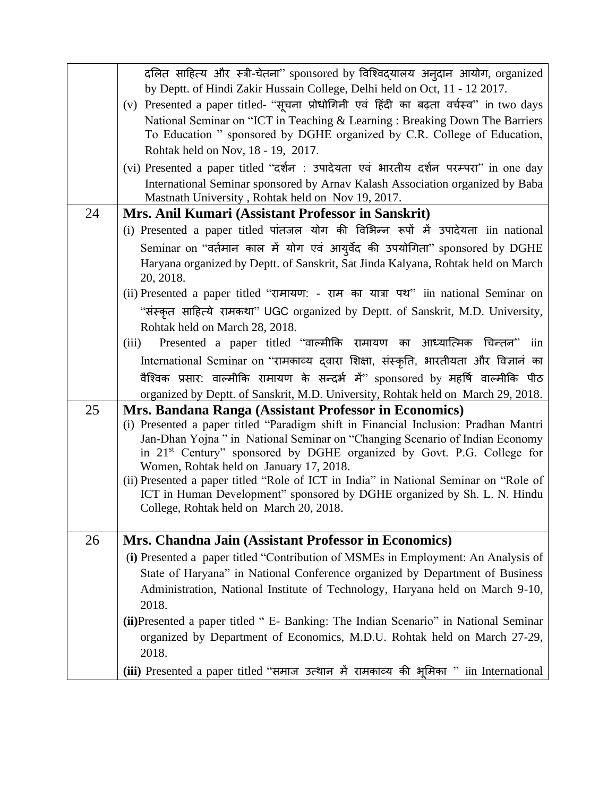|    | दलित साहित्य और स्त्री-चेतना" sponsored by विश्विद्यालय अनुदान आयोग, organized                                                                           |
|----|----------------------------------------------------------------------------------------------------------------------------------------------------------|
|    | by Deptt. of Hindi Zakir Hussain College, Delhi held on Oct, 11 - 12 2017.                                                                               |
|    | (v) Presented a paper titled- "सूचना प्रोधोगिनी एवं हिंदी का बढ़ता वर्चस्व" in two days                                                                  |
|    | National Seminar on "ICT in Teaching & Learning : Breaking Down The Barriers<br>To Education " sponsored by DGHE organized by C.R. College of Education, |
|    | Rohtak held on Nov, 18 - 19, 2017.                                                                                                                       |
|    | (vi) Presented a paper titled "दर्शन : उपादेयता एवं भारतीय दर्शन परम्परा" in one day                                                                     |
|    | International Seminar sponsored by Arnav Kalash Association organized by Baba                                                                            |
|    | Mastnath University, Rohtak held on Nov 19, 2017.                                                                                                        |
| 24 | Mrs. Anil Kumari (Assistant Professor in Sanskrit)                                                                                                       |
|    | (i) Presented a paper titled पांतजल योग की विभिन्न रूपों में उपादेयता iin national                                                                       |
|    | Seminar on "वर्तमान काल में योग एवं आयुर्वेद की उपयोगिता" sponsored by DGHE                                                                              |
|    | Haryana organized by Deptt. of Sanskrit, Sat Jinda Kalyana, Rohtak held on March<br>20, 2018.                                                            |
|    | (ii) Presented a paper titled "रामायण: - राम का यात्रा पथ" iin national Seminar on                                                                       |
|    | "संस्कृत साहित्ये रामकथा" UGC organized by Deptt. of Sanskrit, M.D. University,                                                                          |
|    | Rohtak held on March 28, 2018.                                                                                                                           |
|    | Presented a paper titled "वाल्मीकि रामायण का आध्यात्मिक चिन्तन" iin<br>(iii)                                                                             |
|    | International Seminar on "रामकाव्य द्वारा शिक्षा, संस्कृति, भारतीयता और विज्ञानं का                                                                      |
|    | वैश्विक प्रसार: वाल्मीकि रामायण के सन्दर्भ में" sponsored by महर्षि वाल्मीकि पीठ                                                                         |
|    | organized by Deptt. of Sanskrit, M.D. University, Rohtak held on March 29, 2018.                                                                         |
| 25 | Mrs. Bandana Ranga (Assistant Professor in Economics)                                                                                                    |
|    | (i) Presented a paper titled "Paradigm shift in Financial Inclusion: Pradhan Mantri                                                                      |
|    | Jan-Dhan Yojna " in National Seminar on "Changing Scenario of Indian Economy                                                                             |
|    | in 21 <sup>st</sup> Century" sponsored by DGHE organized by Govt. P.G. College for<br>Women, Rohtak held on January 17, 2018.                            |
|    | (ii) Presented a paper titled "Role of ICT in India" in National Seminar on "Role of                                                                     |
|    | ICT in Human Development" sponsored by DGHE organized by Sh. L. N. Hindu                                                                                 |
|    | College, Rohtak held on March 20, 2018.                                                                                                                  |
|    |                                                                                                                                                          |
| 26 | Mrs. Chandna Jain (Assistant Professor in Economics)                                                                                                     |
|    | (i) Presented a paper titled "Contribution of MSMEs in Employment: An Analysis of                                                                        |
|    | State of Haryana" in National Conference organized by Department of Business                                                                             |
|    | Administration, National Institute of Technology, Haryana held on March 9-10,                                                                            |
|    | 2018.                                                                                                                                                    |
|    | (ii) Presented a paper titled " E- Banking: The Indian Scenario" in National Seminar                                                                     |
|    | organized by Department of Economics, M.D.U. Rohtak held on March 27-29,<br>2018.                                                                        |
|    | (iii) Presented a paper titled "समाज उत्थान में रामकाव्य की भूमिका " iin International                                                                   |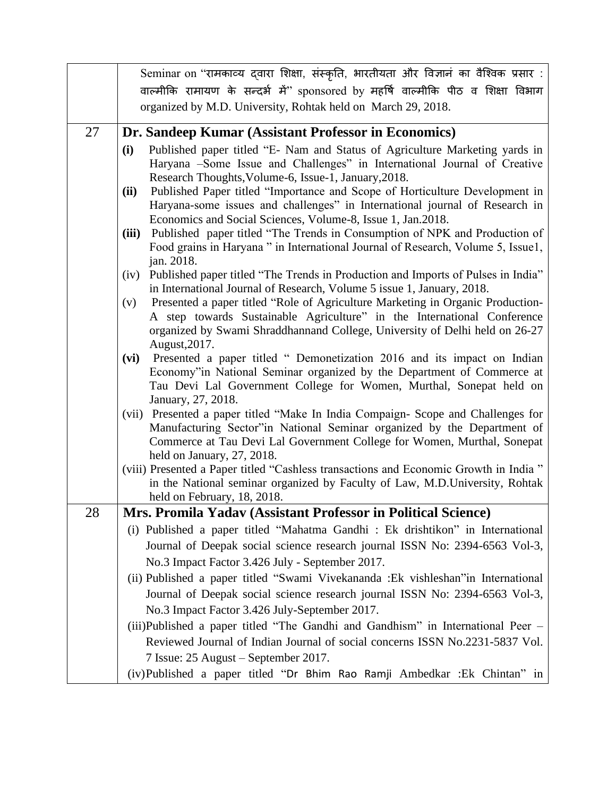|    | Seminar on ''रामकाव्य दवारा शिक्षा, संस्कृति, भारतीयता और विज्ञानं का वैश्विक प्रसार :                                                                          |
|----|-----------------------------------------------------------------------------------------------------------------------------------------------------------------|
|    | वाल्मीकि रामायण के सन्दर्भ में" sponsored by महर्षि वाल्मीकि पीठ व शिक्षा विभाग                                                                                 |
|    | organized by M.D. University, Rohtak held on March 29, 2018.                                                                                                    |
| 27 | Dr. Sandeep Kumar (Assistant Professor in Economics)                                                                                                            |
|    | Published paper titled "E- Nam and Status of Agriculture Marketing yards in<br>(i)                                                                              |
|    | Haryana -Some Issue and Challenges" in International Journal of Creative                                                                                        |
|    | Research Thoughts, Volume-6, Issue-1, January, 2018.                                                                                                            |
|    | Published Paper titled "Importance and Scope of Horticulture Development in<br>(ii)                                                                             |
|    | Haryana-some issues and challenges" in International journal of Research in<br>Economics and Social Sciences, Volume-8, Issue 1, Jan.2018.                      |
|    | Published paper titled "The Trends in Consumption of NPK and Production of<br>(iii)                                                                             |
|    | Food grains in Haryana " in International Journal of Research, Volume 5, Issue1,                                                                                |
|    | jan. 2018.                                                                                                                                                      |
|    | Published paper titled "The Trends in Production and Imports of Pulses in India"<br>(iv)                                                                        |
|    | in International Journal of Research, Volume 5 issue 1, January, 2018.<br>Presented a paper titled "Role of Agriculture Marketing in Organic Production-<br>(v) |
|    | A step towards Sustainable Agriculture" in the International Conference                                                                                         |
|    | organized by Swami Shraddhannand College, University of Delhi held on 26-27                                                                                     |
|    | August, 2017.                                                                                                                                                   |
|    | Presented a paper titled " Demonetization 2016 and its impact on Indian<br>(vi)                                                                                 |
|    | Economy"in National Seminar organized by the Department of Commerce at<br>Tau Devi Lal Government College for Women, Murthal, Sonepat held on                   |
|    | January, 27, 2018.                                                                                                                                              |
|    | (vii) Presented a paper titled "Make In India Compaign- Scope and Challenges for                                                                                |
|    | Manufacturing Sector"in National Seminar organized by the Department of                                                                                         |
|    | Commerce at Tau Devi Lal Government College for Women, Murthal, Sonepat<br>held on January, 27, 2018.                                                           |
|    | (viii) Presented a Paper titled "Cashless transactions and Economic Growth in India"                                                                            |
|    | in the National seminar organized by Faculty of Law, M.D.University, Rohtak                                                                                     |
|    | held on February, 18, 2018.                                                                                                                                     |
| 28 | Mrs. Promila Yadav (Assistant Professor in Political Science)                                                                                                   |
|    | (i) Published a paper titled "Mahatma Gandhi : Ek drishtikon" in International                                                                                  |
|    | Journal of Deepak social science research journal ISSN No: 2394-6563 Vol-3,                                                                                     |
|    | No.3 Impact Factor 3.426 July - September 2017.                                                                                                                 |
|    | (ii) Published a paper titled "Swami Vivekananda :Ek vishleshan"in International                                                                                |
|    | Journal of Deepak social science research journal ISSN No: 2394-6563 Vol-3,                                                                                     |
|    | No.3 Impact Factor 3.426 July-September 2017.                                                                                                                   |
|    | (iii)Published a paper titled "The Gandhi and Gandhism" in International Peer –                                                                                 |
|    | Reviewed Journal of Indian Journal of social concerns ISSN No.2231-5837 Vol.<br>7 Issue: 25 August – September 2017.                                            |
|    | (iv)Published a paper titled "Dr Bhim Rao Ramji Ambedkar : Ek Chintan" in                                                                                       |
|    |                                                                                                                                                                 |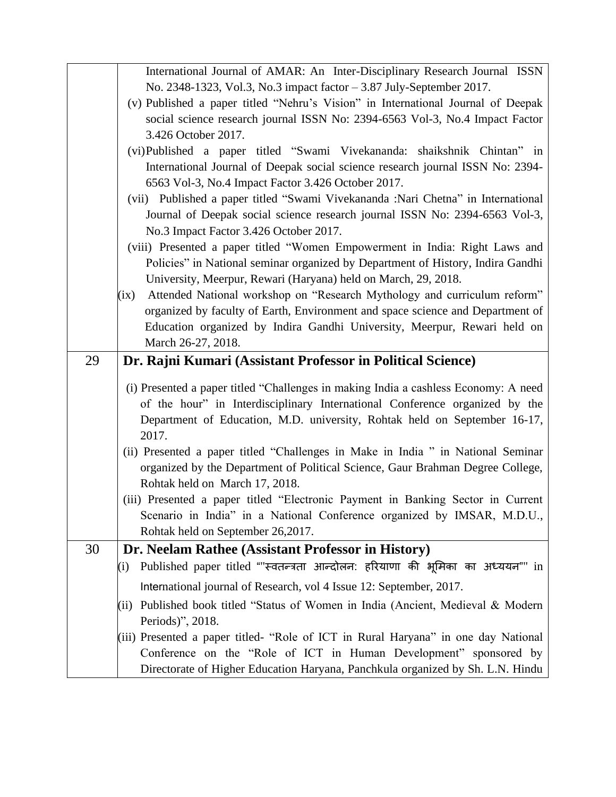|    | International Journal of AMAR: An Inter-Disciplinary Research Journal ISSN            |
|----|---------------------------------------------------------------------------------------|
|    | No. 2348-1323, Vol.3, No.3 impact factor - 3.87 July-September 2017.                  |
|    | (v) Published a paper titled "Nehru's Vision" in International Journal of Deepak      |
|    | social science research journal ISSN No: 2394-6563 Vol-3, No.4 Impact Factor          |
|    | 3.426 October 2017.                                                                   |
|    | (vi)Published a paper titled "Swami Vivekananda: shaikshnik Chintan" in               |
|    | International Journal of Deepak social science research journal ISSN No: 2394-        |
|    | 6563 Vol-3, No.4 Impact Factor 3.426 October 2017.                                    |
|    | (vii) Published a paper titled "Swami Vivekananda :Nari Chetna" in International      |
|    | Journal of Deepak social science research journal ISSN No: 2394-6563 Vol-3,           |
|    | No.3 Impact Factor 3.426 October 2017.                                                |
|    | (viii) Presented a paper titled "Women Empowerment in India: Right Laws and           |
|    | Policies" in National seminar organized by Department of History, Indira Gandhi       |
|    | University, Meerpur, Rewari (Haryana) held on March, 29, 2018.                        |
|    | Attended National workshop on "Research Mythology and curriculum reform"<br>(ix)      |
|    | organized by faculty of Earth, Environment and space science and Department of        |
|    | Education organized by Indira Gandhi University, Meerpur, Rewari held on              |
|    | March 26-27, 2018.                                                                    |
| 29 | Dr. Rajni Kumari (Assistant Professor in Political Science)                           |
|    |                                                                                       |
|    | (i) Presented a paper titled "Challenges in making India a cashless Economy: A need   |
|    | of the hour" in Interdisciplinary International Conference organized by the           |
|    | Department of Education, M.D. university, Rohtak held on September 16-17,             |
|    | 2017.                                                                                 |
|    | (ii) Presented a paper titled "Challenges in Make in India " in National Seminar      |
|    | organized by the Department of Political Science, Gaur Brahman Degree College,        |
|    | Rohtak held on March 17, 2018.                                                        |
|    | (iii) Presented a paper titled "Electronic Payment in Banking Sector in Current       |
|    | Scenario in India" in a National Conference organized by IMSAR, M.D.U.,               |
|    | Rohtak held on September 26,2017.                                                     |
| 30 | Dr. Neelam Rathee (Assistant Professor in History)                                    |
|    | Published paper titled ""स्वतन्त्रता आन्दोलन: हरियाणा की भूमिका का अध्ययन"" in<br>(i) |
|    | International journal of Research, vol 4 Issue 12: September, 2017.                   |
|    | Published book titled "Status of Women in India (Ancient, Medieval & Modern<br>(ii)   |
|    | Periods)", 2018.                                                                      |
|    | (iii) Presented a paper titled- "Role of ICT in Rural Haryana" in one day National    |
|    | Conference on the "Role of ICT in Human Development" sponsored by                     |
|    | Directorate of Higher Education Haryana, Panchkula organized by Sh. L.N. Hindu        |
|    |                                                                                       |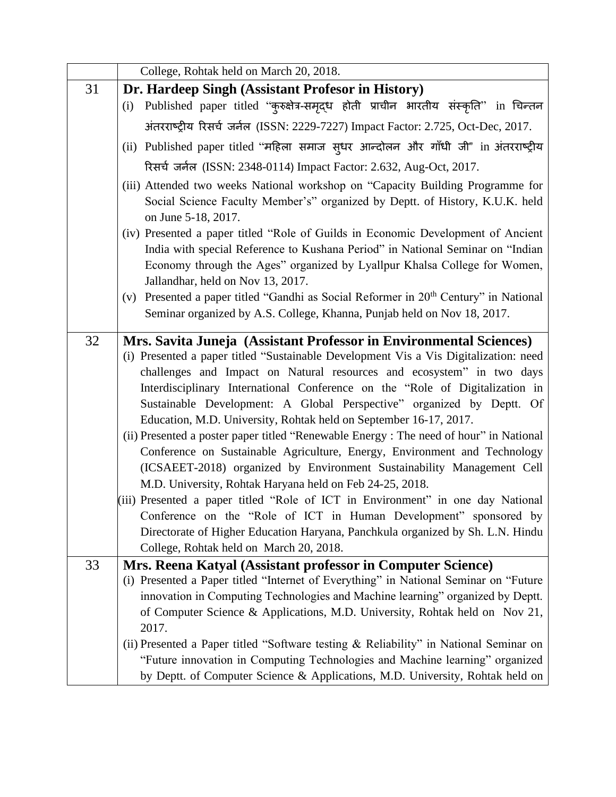|    | College, Rohtak held on March 20, 2018.                                                                                                                                                                                                                                                                                                                                                                                                                                                                                                                                                                                                                                                                                                                                                                                                                                                                                                                                                                                                                            |
|----|--------------------------------------------------------------------------------------------------------------------------------------------------------------------------------------------------------------------------------------------------------------------------------------------------------------------------------------------------------------------------------------------------------------------------------------------------------------------------------------------------------------------------------------------------------------------------------------------------------------------------------------------------------------------------------------------------------------------------------------------------------------------------------------------------------------------------------------------------------------------------------------------------------------------------------------------------------------------------------------------------------------------------------------------------------------------|
| 31 | Dr. Hardeep Singh (Assistant Profesor in History)                                                                                                                                                                                                                                                                                                                                                                                                                                                                                                                                                                                                                                                                                                                                                                                                                                                                                                                                                                                                                  |
|    | Published paper titled "कुरुक्षेत्र-समृद्ध होती प्राचीन भारतीय संस्कृति" in चिन्तन<br>(i)                                                                                                                                                                                                                                                                                                                                                                                                                                                                                                                                                                                                                                                                                                                                                                                                                                                                                                                                                                          |
|    | अंतरराष्ट्रीय रिसर्च जर्नल (ISSN: 2229-7227) Impact Factor: 2.725, Oct-Dec, 2017.                                                                                                                                                                                                                                                                                                                                                                                                                                                                                                                                                                                                                                                                                                                                                                                                                                                                                                                                                                                  |
|    | (ii) Published paper titled "महिला समाज सुधर आन्दोलन और गाँधी जी" in अंतरराष्ट्रीय                                                                                                                                                                                                                                                                                                                                                                                                                                                                                                                                                                                                                                                                                                                                                                                                                                                                                                                                                                                 |
|    | रिसर्च जर्नल (ISSN: 2348-0114) Impact Factor: 2.632, Aug-Oct, 2017.                                                                                                                                                                                                                                                                                                                                                                                                                                                                                                                                                                                                                                                                                                                                                                                                                                                                                                                                                                                                |
|    | (iii) Attended two weeks National workshop on "Capacity Building Programme for<br>Social Science Faculty Member's" organized by Deptt. of History, K.U.K. held<br>on June 5-18, 2017.                                                                                                                                                                                                                                                                                                                                                                                                                                                                                                                                                                                                                                                                                                                                                                                                                                                                              |
|    | (iv) Presented a paper titled "Role of Guilds in Economic Development of Ancient<br>India with special Reference to Kushana Period" in National Seminar on "Indian<br>Economy through the Ages" organized by Lyallpur Khalsa College for Women,<br>Jallandhar, held on Nov 13, 2017.                                                                                                                                                                                                                                                                                                                                                                                                                                                                                                                                                                                                                                                                                                                                                                               |
|    | Presented a paper titled "Gandhi as Social Reformer in 20 <sup>th</sup> Century" in National<br>(v)<br>Seminar organized by A.S. College, Khanna, Punjab held on Nov 18, 2017.                                                                                                                                                                                                                                                                                                                                                                                                                                                                                                                                                                                                                                                                                                                                                                                                                                                                                     |
| 32 | Mrs. Savita Juneja (Assistant Professor in Environmental Sciences)<br>(i) Presented a paper titled "Sustainable Development Vis a Vis Digitalization: need<br>challenges and Impact on Natural resources and ecosystem" in two days<br>Interdisciplinary International Conference on the "Role of Digitalization in<br>Sustainable Development: A Global Perspective" organized by Deptt. Of<br>Education, M.D. University, Rohtak held on September 16-17, 2017.<br>(ii) Presented a poster paper titled "Renewable Energy: The need of hour" in National<br>Conference on Sustainable Agriculture, Energy, Environment and Technology<br>(ICSAEET-2018) organized by Environment Sustainability Management Cell<br>M.D. University, Rohtak Haryana held on Feb 24-25, 2018.<br>(iii) Presented a paper titled "Role of ICT in Environment" in one day National<br>Conference on the "Role of ICT in Human Development" sponsored by<br>Directorate of Higher Education Haryana, Panchkula organized by Sh. L.N. Hindu<br>College, Rohtak held on March 20, 2018. |
| 33 | Mrs. Reena Katyal (Assistant professor in Computer Science)<br>(i) Presented a Paper titled "Internet of Everything" in National Seminar on "Future<br>innovation in Computing Technologies and Machine learning" organized by Deptt.<br>of Computer Science & Applications, M.D. University, Rohtak held on Nov 21,<br>2017.<br>(ii) Presented a Paper titled "Software testing & Reliability" in National Seminar on<br>"Future innovation in Computing Technologies and Machine learning" organized<br>by Deptt. of Computer Science & Applications, M.D. University, Rohtak held on                                                                                                                                                                                                                                                                                                                                                                                                                                                                            |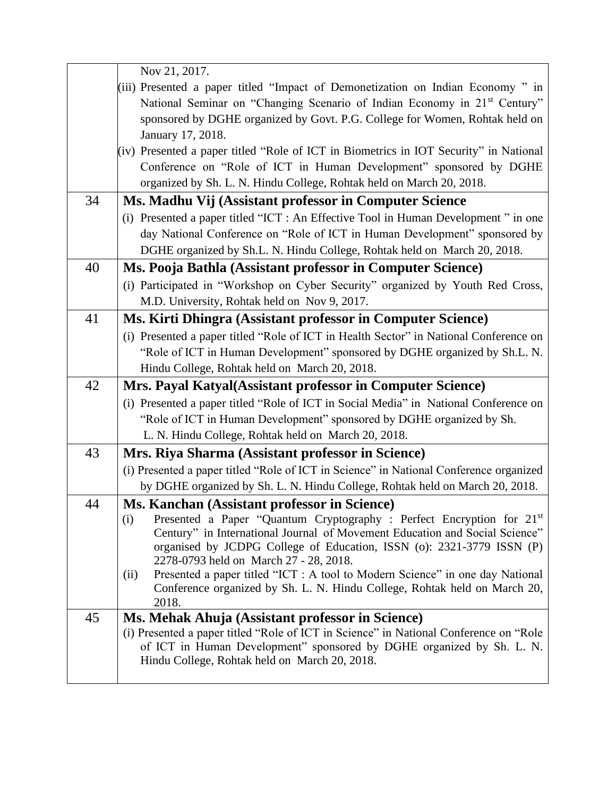|    | Nov 21, 2017.                                                                                                                                                                                                                                                                  |
|----|--------------------------------------------------------------------------------------------------------------------------------------------------------------------------------------------------------------------------------------------------------------------------------|
|    | (iii) Presented a paper titled "Impact of Demonetization on Indian Economy" in<br>National Seminar on "Changing Scenario of Indian Economy in 21 <sup>st</sup> Century"<br>sponsored by DGHE organized by Govt. P.G. College for Women, Rohtak held on<br>January 17, 2018.    |
|    | (iv) Presented a paper titled "Role of ICT in Biometrics in IOT Security" in National                                                                                                                                                                                          |
|    | Conference on "Role of ICT in Human Development" sponsored by DGHE                                                                                                                                                                                                             |
|    | organized by Sh. L. N. Hindu College, Rohtak held on March 20, 2018.                                                                                                                                                                                                           |
| 34 | Ms. Madhu Vij (Assistant professor in Computer Science                                                                                                                                                                                                                         |
|    | (i) Presented a paper titled "ICT : An Effective Tool in Human Development" in one                                                                                                                                                                                             |
|    | day National Conference on "Role of ICT in Human Development" sponsored by                                                                                                                                                                                                     |
|    | DGHE organized by Sh.L. N. Hindu College, Rohtak held on March 20, 2018.                                                                                                                                                                                                       |
| 40 | Ms. Pooja Bathla (Assistant professor in Computer Science)                                                                                                                                                                                                                     |
|    | (i) Participated in "Workshop on Cyber Security" organized by Youth Red Cross,<br>M.D. University, Rohtak held on Nov 9, 2017.                                                                                                                                                 |
| 41 | Ms. Kirti Dhingra (Assistant professor in Computer Science)                                                                                                                                                                                                                    |
|    | (i) Presented a paper titled "Role of ICT in Health Sector" in National Conference on                                                                                                                                                                                          |
|    | "Role of ICT in Human Development" sponsored by DGHE organized by Sh.L. N.                                                                                                                                                                                                     |
|    | Hindu College, Rohtak held on March 20, 2018.                                                                                                                                                                                                                                  |
| 42 | Mrs. Payal Katyal (Assistant professor in Computer Science)                                                                                                                                                                                                                    |
|    | (i) Presented a paper titled "Role of ICT in Social Media" in National Conference on                                                                                                                                                                                           |
|    | "Role of ICT in Human Development" sponsored by DGHE organized by Sh.                                                                                                                                                                                                          |
|    | L. N. Hindu College, Rohtak held on March 20, 2018.                                                                                                                                                                                                                            |
| 43 | Mrs. Riya Sharma (Assistant professor in Science)                                                                                                                                                                                                                              |
|    | (i) Presented a paper titled "Role of ICT in Science" in National Conference organized                                                                                                                                                                                         |
|    | by DGHE organized by Sh. L. N. Hindu College, Rohtak held on March 20, 2018.                                                                                                                                                                                                   |
| 44 | Ms. Kanchan (Assistant professor in Science)                                                                                                                                                                                                                                   |
|    | Presented a Paper "Quantum Cryptography : Perfect Encryption for 21st<br>(i)<br>Century" in International Journal of Movement Education and Social Science"<br>organised by JCDPG College of Education, ISSN (o): 2321-3779 ISSN (P)<br>2278-0793 held on March 27 - 28, 2018. |
|    | Presented a paper titled "ICT : A tool to Modern Science" in one day National<br>(ii)<br>Conference organized by Sh. L. N. Hindu College, Rohtak held on March 20,<br>2018.                                                                                                    |
| 45 | Ms. Mehak Ahuja (Assistant professor in Science)                                                                                                                                                                                                                               |
|    | (i) Presented a paper titled "Role of ICT in Science" in National Conference on "Role"<br>of ICT in Human Development" sponsored by DGHE organized by Sh. L. N.<br>Hindu College, Rohtak held on March 20, 2018.                                                               |